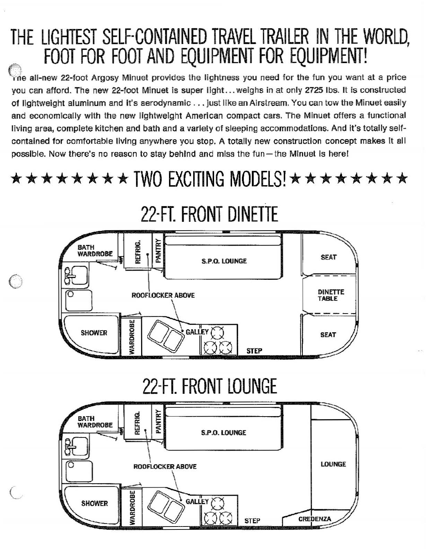# **THE LIGHTEST SElF-CONTAINED TRAVEL TRAilER IN THE WORLD,** ... **FOOT FOR FOOT AND EQUIPMENT FOR EQUIPMENT!**

**Oe all·new 22-100t Argosy Minuet provides the lightness you need for the fun you want at <sup>a</sup> price** you can afford. The new 22-foot Minuet is super light... weighs in at only 2725 lbs. It is constructed of lightweight aluminum and it's aerodynamic . . . just like an Airstream. You can tow the Minuet easily **and economically with the new lightweight American compact cars. The Minuet offers a functional** living area, complete kitchen and bath and a variety of sleeping accommodations. And It's totally selfcontained for comfortable living anywhere you stop. A totally new construction concept makes it all possible. Now there's no reason to stay behind and miss the fun-the Minuet is here!

**\*\*\*\*\*\*\*\* TWO EXCITING MODElS!\*\*\*\*\*\*\*\***



o

# **22-FT. FRONT lOUNGE**